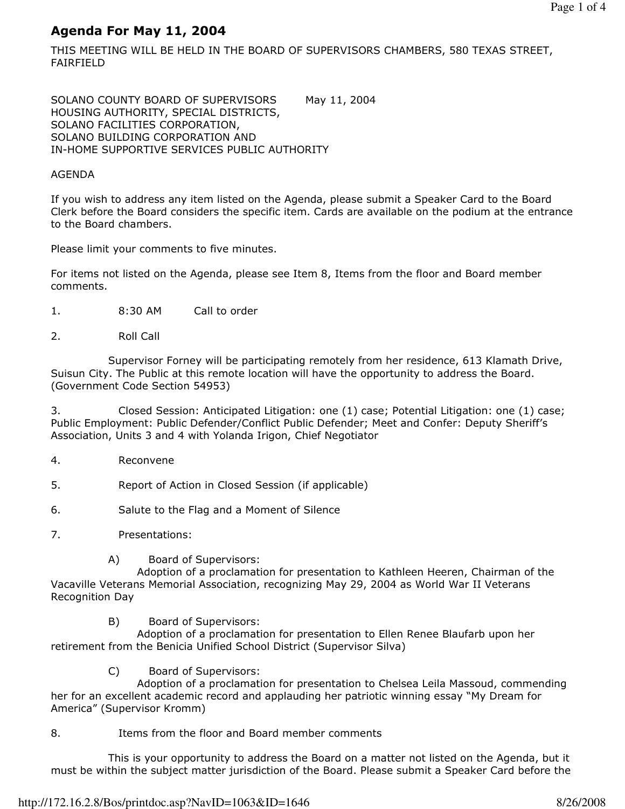# Agenda For May 11, 2004

THIS MEETING WILL BE HELD IN THE BOARD OF SUPERVISORS CHAMBERS, 580 TEXAS STREET, FAIRFIELD

SOLANO COUNTY BOARD OF SUPERVISORS May 11, 2004 HOUSING AUTHORITY, SPECIAL DISTRICTS, SOLANO FACILITIES CORPORATION, SOLANO BUILDING CORPORATION AND IN-HOME SUPPORTIVE SERVICES PUBLIC AUTHORITY

#### AGENDA

If you wish to address any item listed on the Agenda, please submit a Speaker Card to the Board Clerk before the Board considers the specific item. Cards are available on the podium at the entrance to the Board chambers.

Please limit your comments to five minutes.

For items not listed on the Agenda, please see Item 8, Items from the floor and Board member comments.

- 1. 8:30 AM Call to order
- 2. Roll Call

 Supervisor Forney will be participating remotely from her residence, 613 Klamath Drive, Suisun City. The Public at this remote location will have the opportunity to address the Board. (Government Code Section 54953)

3. Closed Session: Anticipated Litigation: one (1) case; Potential Litigation: one (1) case; Public Employment: Public Defender/Conflict Public Defender; Meet and Confer: Deputy Sheriff's Association, Units 3 and 4 with Yolanda Irigon, Chief Negotiator

- 4. Reconvene
- 5. Report of Action in Closed Session (if applicable)
- 6. Salute to the Flag and a Moment of Silence
- 7. Presentations:
	- A) Board of Supervisors:

 Adoption of a proclamation for presentation to Kathleen Heeren, Chairman of the Vacaville Veterans Memorial Association, recognizing May 29, 2004 as World War II Veterans Recognition Day

B) Board of Supervisors:

 Adoption of a proclamation for presentation to Ellen Renee Blaufarb upon her retirement from the Benicia Unified School District (Supervisor Silva)

C) Board of Supervisors:

 Adoption of a proclamation for presentation to Chelsea Leila Massoud, commending her for an excellent academic record and applauding her patriotic winning essay "My Dream for America" (Supervisor Kromm)

8. Items from the floor and Board member comments

 This is your opportunity to address the Board on a matter not listed on the Agenda, but it must be within the subject matter jurisdiction of the Board. Please submit a Speaker Card before the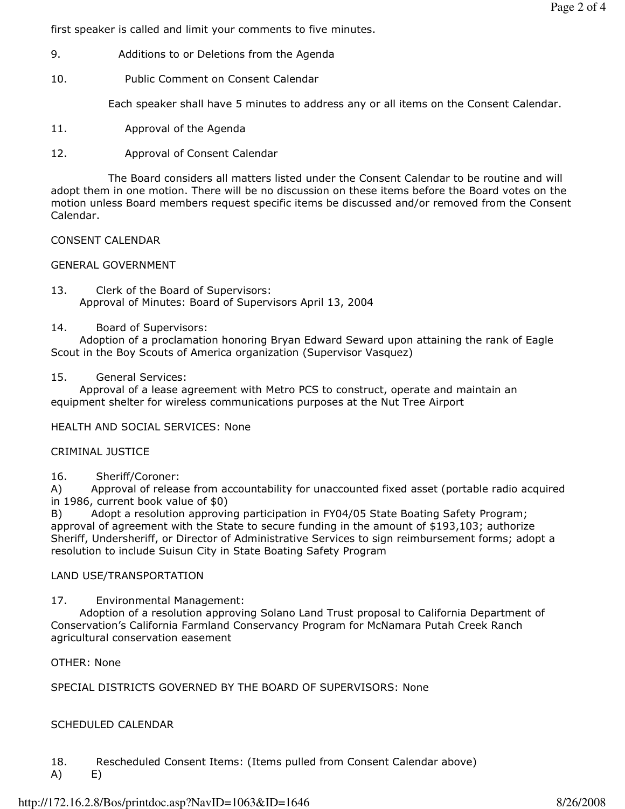first speaker is called and limit your comments to five minutes.

- 9. Additions to or Deletions from the Agenda
- 10. Public Comment on Consent Calendar

Each speaker shall have 5 minutes to address any or all items on the Consent Calendar.

- 11. Approval of the Agenda
- 12. Approval of Consent Calendar

 The Board considers all matters listed under the Consent Calendar to be routine and will adopt them in one motion. There will be no discussion on these items before the Board votes on the motion unless Board members request specific items be discussed and/or removed from the Consent Calendar.

#### CONSENT CALENDAR

## GENERAL GOVERNMENT

13. Clerk of the Board of Supervisors: Approval of Minutes: Board of Supervisors April 13, 2004

## 14. Board of Supervisors:

 Adoption of a proclamation honoring Bryan Edward Seward upon attaining the rank of Eagle Scout in the Boy Scouts of America organization (Supervisor Vasquez)

## 15. General Services:

 Approval of a lease agreement with Metro PCS to construct, operate and maintain an equipment shelter for wireless communications purposes at the Nut Tree Airport

HEALTH AND SOCIAL SERVICES: None

#### CRIMINAL JUSTICE

16. Sheriff/Coroner:

A) Approval of release from accountability for unaccounted fixed asset (portable radio acquired in 1986, current book value of \$0)

B) Adopt a resolution approving participation in FY04/05 State Boating Safety Program; approval of agreement with the State to secure funding in the amount of \$193,103; authorize Sheriff, Undersheriff, or Director of Administrative Services to sign reimbursement forms; adopt a resolution to include Suisun City in State Boating Safety Program

# LAND USE/TRANSPORTATION

17. Environmental Management:

 Adoption of a resolution approving Solano Land Trust proposal to California Department of Conservation's California Farmland Conservancy Program for McNamara Putah Creek Ranch agricultural conservation easement

OTHER: None

SPECIAL DISTRICTS GOVERNED BY THE BOARD OF SUPERVISORS: None

# SCHEDULED CALENDAR

- 18. Rescheduled Consent Items: (Items pulled from Consent Calendar above)
- A) E)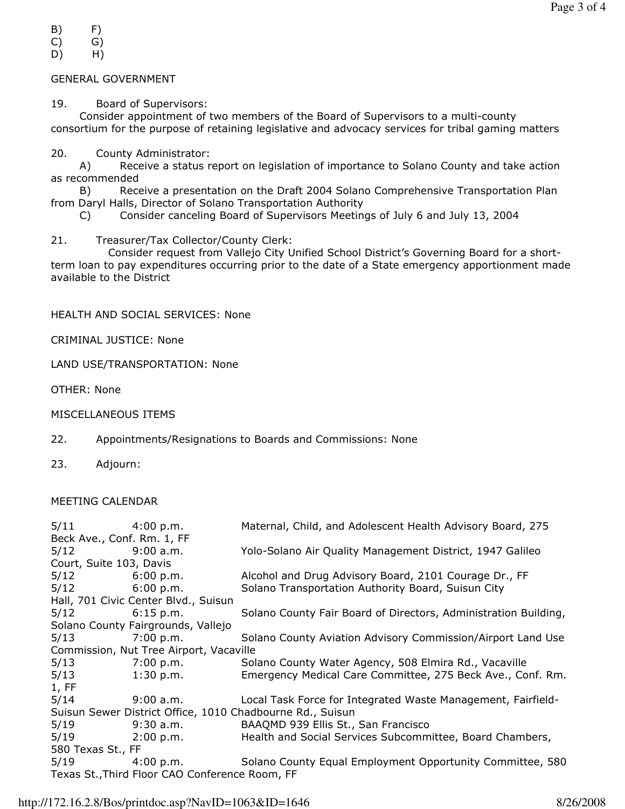- $(B)$   $F)$
- C) G)
- D) H)

# GENERAL GOVERNMENT

19. Board of Supervisors:

 Consider appointment of two members of the Board of Supervisors to a multi-county consortium for the purpose of retaining legislative and advocacy services for tribal gaming matters

20. County Administrator:

 A) Receive a status report on legislation of importance to Solano County and take action as recommended

 B) Receive a presentation on the Draft 2004 Solano Comprehensive Transportation Plan from Daryl Halls, Director of Solano Transportation Authority

C) Consider canceling Board of Supervisors Meetings of July 6 and July 13, 2004

21. Treasurer/Tax Collector/County Clerk:

 Consider request from Vallejo City Unified School District's Governing Board for a shortterm loan to pay expenditures occurring prior to the date of a State emergency apportionment made available to the District

HEALTH AND SOCIAL SERVICES: None

CRIMINAL JUSTICE: None

LAND USE/TRANSPORTATION: None

OTHER: None

MISCELLANEOUS ITEMS

- 22. Appointments/Resignations to Boards and Commissions: None
- 23. Adjourn:

# MEETING CALENDAR

| $5/11$ 4:00 p.m.                                          |                     | Maternal, Child, and Adolescent Health Advisory Board, 275                    |  |  |
|-----------------------------------------------------------|---------------------|-------------------------------------------------------------------------------|--|--|
| Beck Ave., Conf. Rm. 1, FF                                |                     |                                                                               |  |  |
| 5/12 9:00 a.m.                                            |                     | Yolo-Solano Air Quality Management District, 1947 Galileo                     |  |  |
| Court, Suite 103, Davis                                   |                     |                                                                               |  |  |
| $5/12$ 6:00 p.m.                                          |                     | Alcohol and Drug Advisory Board, 2101 Courage Dr., FF                         |  |  |
| $5/12$ 6:00 p.m.                                          |                     | Solano Transportation Authority Board, Suisun City                            |  |  |
| Hall, 701 Civic Center Blvd., Suisun                      |                     |                                                                               |  |  |
| $5/12$ 6:15 p.m.                                          |                     | Solano County Fair Board of Directors, Administration Building,               |  |  |
| Solano County Fairgrounds, Vallejo                        |                     |                                                                               |  |  |
| $5/13$ 7:00 p.m.                                          |                     | Solano County Aviation Advisory Commission/Airport Land Use                   |  |  |
| Commission, Nut Tree Airport, Vacaville                   |                     |                                                                               |  |  |
| 5/13                                                      | 7:00 p.m.           | Solano County Water Agency, 508 Elmira Rd., Vacaville                         |  |  |
| 5/13                                                      | $1:30 \text{ p.m.}$ | Emergency Medical Care Committee, 275 Beck Ave., Conf. Rm.                    |  |  |
| 1, FF                                                     |                     |                                                                               |  |  |
| 5/14                                                      |                     | 9:00 a.m. <b>Local Task Force for Integrated Waste Management, Fairfield-</b> |  |  |
| Suisun Sewer District Office, 1010 Chadbourne Rd., Suisun |                     |                                                                               |  |  |
| 5/19                                                      | $9:30$ a.m.         | BAAQMD 939 Ellis St., San Francisco                                           |  |  |
|                                                           | 5/19 2:00 p.m.      | Health and Social Services Subcommittee, Board Chambers,                      |  |  |
| 580 Texas St., FF                                         |                     |                                                                               |  |  |
| 5/19                                                      |                     | 4:00 p.m. Solano County Equal Employment Opportunity Committee, 580           |  |  |
| Texas St., Third Floor CAO Conference Room, FF            |                     |                                                                               |  |  |